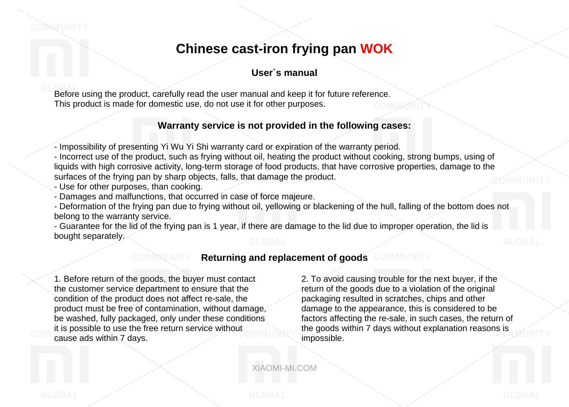## **Chinese cast-iron frying pan WOK**

## **User`s manual**

Before using the product, carefully read the user manual and keep it for future reference. This product is made for domestic use, do not use it for other purposes.

## **Warranty service is not provided in the following cases:**

- Impossibility of presenting Yi Wu Yi Shi warranty card or expiration of the warranty period.

- Incorrect use of the product, such as frying without oil, heating the product without cooking, strong bumps, using of liquids with high corrosive activity, long-term storage of food products, that have corrosive properties, damage to the surfaces of the frying pan by sharp objects, falls, that damage the product.

- Use for other purposes, than cooking.

- Damages and malfunctions, that occurred in case of force majeure.

- Deformation of the frying pan due to frying without oil, yellowing or blackening of the hull, falling of the bottom does not belong to the warranty service.

- Guarantee for the lid of the frying pan is 1 year, if there are damage to the lid due to improper operation, the lid is bought separately.

## **Returning and replacement of goods**

1. Before return of the goods, the buyer must contact the customer service department to ensure that the condition of the product does not affect re-sale, the product must be free of contamination, without damage, be washed, fully packaged, only under these conditions it is possible to use the free return service without cause ads within 7 days.

2. To avoid causing trouble for the next buyer, if the return of the goods due to a violation of the original packaging resulted in scratches, chips and other damage to the appearance, this is considered to be factors affecting the re-sale, in such cases, the return of the goods within 7 days without explanation reasons is impossible.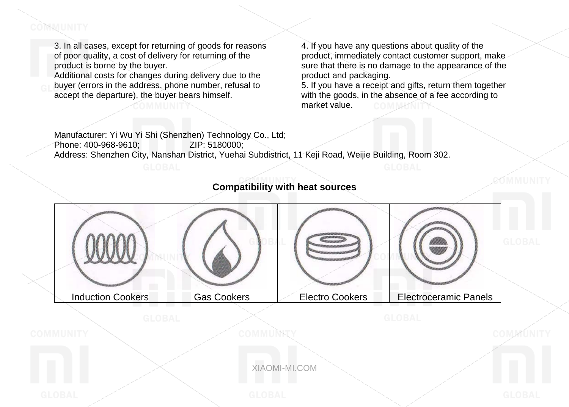# COMMUNITY

3. In all cases, except for returning of goods for reasons of poor quality, a cost of delivery for returning of the product is borne by the buyer.

Additional costs for changes during delivery due to the buyer (errors in the address, phone number, refusal to accept the departure), the buyer bears himself.

4. If you have any questions about quality of the product, immediately contact customer support, make sure that there is no damage to the appearance of the product and packaging.

5. If you have a receipt and gifts, return them together with the goods, in the absence of a fee according to market value.

Manufacturer: Yi Wu Yi Shi (Shenzhen) Technology Co., Ltd; Phone: 400-968-9610; Address: Shenzhen City, Nanshan District, Yuehai Subdistrict, 11 Keji Road, Weijie Building, Room 302.

# Induction Cookers Gas Cookers Electro Cookers Electroceramic Panels

## **Compatibility with heat sources**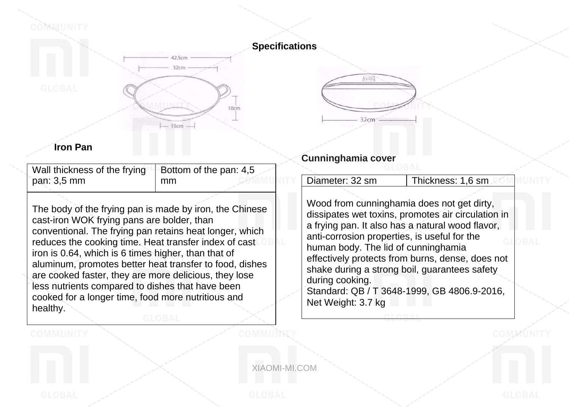### **Specifications**



COMMUNITY



## **Iron Pan**

| Wall thickness of the frying $\vert$ Bottom of the pan: 4,5 |    |
|-------------------------------------------------------------|----|
| pan: 3,5 mm                                                 | mm |
|                                                             |    |

The body of the frying pan is made by iron, the Chinese cast-iron WOK frying pans are bolder, than conventional. The frying pan retains heat longer, which reduces the cooking time. Heat transfer index of cast iron is 0.64, which is 6 times higher, than that of aluminum, promotes better heat transfer to food, dishes are cooked faster, they are more delicious, they lose less nutrients compared to dishes that have been cooked for a longer time, food more nutritious and healthy.

# **Cunninghamia cover**

行运

 $32cm$ 

| Diameter: 32 sm | <b>UThickness: 1,6 sm</b> |
|-----------------|---------------------------|
|-----------------|---------------------------|

Wood from cunninghamia does not get dirty, dissipates wet toxins, promotes air circulation in a frying pan. It also has a natural wood flavor, anti-corrosion properties, is useful for the human body. The lid of cunninghamia effectively protects from burns, dense, does not shake during a strong boil, guarantees safety during cooking. Standard: QB / T 3648-1999, GB 4806.9-2016, Net Weight: 3.7 kg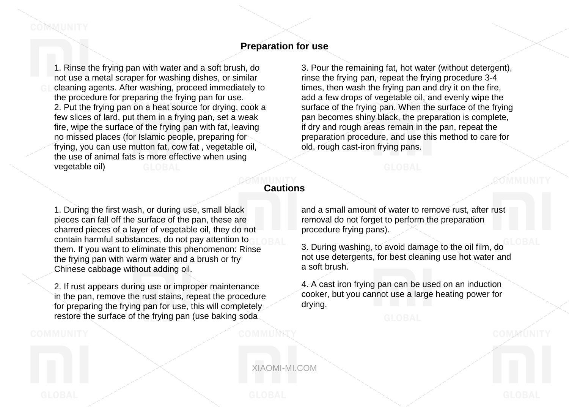1. Rinse the frying pan with water and a soft brush, do not use a metal scraper for washing dishes, or similar cleaning agents. After washing, proceed immediately to the procedure for preparing the frying pan for use. 2. Put the frying pan on a heat source for drying, cook a few slices of lard, put them in a frying pan, set a weak fire, wipe the surface of the frying pan with fat, leaving no missed places (for Islamic people, preparing for frying, you can use mutton fat, cow fat , vegetable oil, the use of animal fats is more effective when using vegetable oil)

3. Pour the remaining fat, hot water (without detergent), rinse the frying pan, repeat the frying procedure 3-4 times, then wash the frying pan and dry it on the fire, add a few drops of vegetable oil, and evenly wipe the surface of the frying pan. When the surface of the frying pan becomes shiny black, the preparation is complete, if dry and rough areas remain in the pan, repeat the preparation procedure, and use this method to care for old, rough cast-iron frying pans.

## **Cautions**

1. During the first wash, or during use, small black pieces can fall off the surface of the pan, these are charred pieces of a layer of vegetable oil, they do not contain harmful substances, do not pay attention to them. If you want to eliminate this phenomenon: Rinse the frying pan with warm water and a brush or fry Chinese cabbage without adding oil.

2. If rust appears during use or improper maintenance in the pan, remove the rust stains, repeat the procedure for preparing the frying pan for use, this will completely restore the surface of the frying pan (use baking soda

COMMUNITY

and a small amount of water to remove rust, after rust removal do not forget to perform the preparation procedure frying pans).

3. During washing, to avoid damage to the oil film, do not use detergents, for best cleaning use hot water and a soft brush.

4. A cast iron frying pan can be used on an induction cooker, but you cannot use a large heating power for drying.